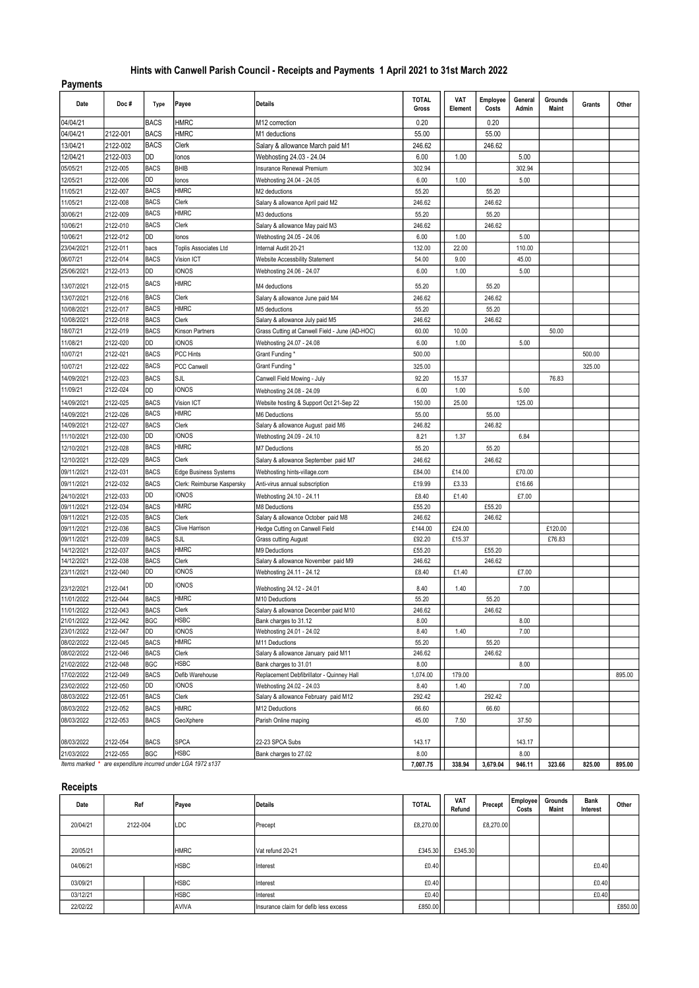## Hints with Canwell Parish Council - Receipts and Payments 1 April 2021 to 31st March 2022

## Payments

| Date       | Doc#     | Type        | Payee                                                       | Details                                        | <b>TOTAL</b><br>Gross | VAT<br>Element | Employee<br>Costs | General<br>Admin | Grounds<br>Maint | Grants | Other  |
|------------|----------|-------------|-------------------------------------------------------------|------------------------------------------------|-----------------------|----------------|-------------------|------------------|------------------|--------|--------|
| 04/04/21   |          | <b>BACS</b> | <b>HMRC</b>                                                 | M12 correction                                 | 0.20                  |                | 0.20              |                  |                  |        |        |
| 04/04/21   | 2122-001 | <b>BACS</b> | <b>HMRC</b>                                                 | M1 deductions                                  | 55.00                 |                | 55.00             |                  |                  |        |        |
| 13/04/21   | 2122-002 | <b>BACS</b> | Clerk                                                       | Salary & allowance March paid M1               | 246.62                |                | 246.62            |                  |                  |        |        |
| 12/04/21   | 2122-003 | DD          | lonos                                                       | Webhosting 24.03 - 24.04                       | 6.00                  | 1.00           |                   | 5.00             |                  |        |        |
| 05/05/21   | 2122-005 | <b>BACS</b> | BHIB                                                        | Insurance Renewal Premium                      | 302.94                |                |                   | 302.94           |                  |        |        |
| 12/05/21   | 2122-006 | DD          | lonos                                                       | Webhosting 24.04 - 24.05                       | 6.00                  | 1.00           |                   | 5.00             |                  |        |        |
| 11/05/21   | 2122-007 | <b>BACS</b> | <b>HMRC</b>                                                 | M2 deductions                                  | 55.20                 |                | 55.20             |                  |                  |        |        |
| 11/05/21   | 2122-008 | <b>BACS</b> | Clerk                                                       | Salary & allowance April paid M2               | 246.62                |                | 246.62            |                  |                  |        |        |
| 30/06/21   | 2122-009 | <b>BACS</b> | <b>HMRC</b>                                                 | M3 deductions                                  | 55.20                 |                | 55.20             |                  |                  |        |        |
| 10/06/21   | 2122-010 | <b>BACS</b> | Clerk                                                       | Salary & allowance May paid M3                 | 246.62                |                | 246.62            |                  |                  |        |        |
| 10/06/21   | 2122-012 | DD          | lonos                                                       | Webhosting 24.05 - 24.06                       | 6.00                  | 1.00           |                   | 5.00             |                  |        |        |
| 23/04/2021 | 2122-011 | bacs        | Toplis Associates Ltd                                       | Internal Audit 20-21                           | 132.00                | 22.00          |                   | 110.00           |                  |        |        |
| 06/07/21   | 2122-014 | <b>BACS</b> | Vision ICT                                                  | Website Accessbility Statement                 | 54.00                 | 9.00           |                   | 45.00            |                  |        |        |
| 25/06/2021 | 2122-013 | DD          | <b>IONOS</b>                                                | Webhosting 24.06 - 24.07                       | 6.00                  | 1.00           |                   | 5.00             |                  |        |        |
| 13/07/2021 | 2122-015 | <b>BACS</b> | <b>HMRC</b>                                                 | M4 deductions                                  | 55.20                 |                | 55.20             |                  |                  |        |        |
| 13/07/2021 | 2122-016 | <b>BACS</b> | <b>Clerk</b>                                                | Salary & allowance June paid M4                | 246.62                |                | 246.62            |                  |                  |        |        |
| 10/08/2021 | 2122-017 | <b>BACS</b> | <b>HMRC</b>                                                 | M5 deductions                                  | 55.20                 |                | 55.20             |                  |                  |        |        |
| 10/08/2021 | 2122-018 | <b>BACS</b> | Clerk                                                       | Salary & allowance July paid M5                | 246.62                |                | 246.62            |                  |                  |        |        |
| 18/07/21   | 2122-019 | <b>BACS</b> | Kinson Partners                                             | Grass Cutting at Canwell Field - June (AD-HOC) | 60.00                 | 10.00          |                   |                  | 50.00            |        |        |
| 11/08/21   | 2122-020 | DD          | ionos                                                       | Webhosting 24.07 - 24.08                       | 6.00                  | 1.00           |                   | 5.00             |                  |        |        |
| 10/07/21   | 2122-021 | <b>BACS</b> | PCC Hints                                                   | Grant Funding *                                | 500.00                |                |                   |                  |                  | 500.00 |        |
| 10/07/21   | 2122-022 | <b>BACS</b> | PCC Canwell                                                 | Grant Funding *                                | 325.00                |                |                   |                  |                  | 325.00 |        |
| 14/09/2021 | 2122-023 | <b>BACS</b> | SJL                                                         | Canwell Field Mowing - July                    | 92.20                 | 15.37          |                   |                  | 76.83            |        |        |
| 11/09/21   | 2122-024 | DD          | <b>IONOS</b>                                                |                                                | 6.00                  | 1.00           |                   | 5.00             |                  |        |        |
|            |          |             |                                                             | Webhosting 24.08 - 24.09                       |                       |                |                   |                  |                  |        |        |
| 14/09/2021 | 2122-025 | <b>BACS</b> | Vision ICT                                                  | Website hosting & Support Oct 21-Sep 22        | 150.00                | 25.00          |                   | 125.00           |                  |        |        |
| 14/09/2021 | 2122-026 | <b>BACS</b> | <b>HMRC</b>                                                 | M6 Deductions                                  | 55.00                 |                | 55.00             |                  |                  |        |        |
| 14/09/2021 | 2122-027 | <b>BACS</b> | Clerk                                                       | Salary & allowance August paid M6              | 246.82                |                | 246.82            |                  |                  |        |        |
| 11/10/2021 | 2122-030 | DD          | ionos                                                       | Webhosting 24.09 - 24.10                       | 8.21                  | 1.37           |                   | 6.84             |                  |        |        |
| 12/10/2021 | 2122-028 | <b>BACS</b> | <b>HMRC</b>                                                 | <b>M7 Deductions</b>                           | 55.20                 |                | 55.20             |                  |                  |        |        |
| 12/10/2021 | 2122-029 | <b>BACS</b> | Clerk                                                       | Salary & allowance September paid M7           | 246.62                |                | 246.62            |                  |                  |        |        |
| 09/11/2021 | 2122-031 | <b>BACS</b> | <b>Edge Business Systems</b>                                | Webhosting hints-village.com                   | £84.00                | £14.00         |                   | £70.00           |                  |        |        |
| 09/11/2021 | 2122-032 | <b>BACS</b> | Clerk: Reimburse Kaspersky                                  | Anti-virus annual subscription                 | £19.99                | £3.33          |                   | £16.66           |                  |        |        |
| 24/10/2021 | 2122-033 | DD          | <b>IONOS</b>                                                | Webhosting 24.10 - 24.11                       | £8.40                 | £1.40          |                   | £7.00            |                  |        |        |
| 09/11/2021 | 2122-034 | <b>BACS</b> | <b>HMRC</b>                                                 | M8 Deductions                                  | £55.20                |                | £55.20            |                  |                  |        |        |
| 09/11/2021 | 2122-035 | <b>BACS</b> | Clerk                                                       | Salary & allowance October paid M8             | 246.62                |                | 246.62            |                  |                  |        |        |
| 09/11/2021 | 2122-036 | <b>BACS</b> | Clive Harrison                                              | Hedge Cutting on Canwell Field                 | £144.00               | £24.00         |                   |                  | £120.00          |        |        |
| 09/11/2021 | 2122-039 | <b>BACS</b> | SJL                                                         | <b>Grass cutting August</b>                    | £92.20                | £15.37         |                   |                  | £76.83           |        |        |
| 14/12/2021 | 2122-037 | <b>BACS</b> | <b>HMRC</b>                                                 | M9 Deductions                                  | £55.20                |                | £55.20            |                  |                  |        |        |
| 14/12/2021 | 2122-038 | <b>BACS</b> | Clerk                                                       | Salary & allowance November paid M9            | 246.62                |                | 246.62            |                  |                  |        |        |
| 23/11/2021 | 2122-040 | DD          | <b>IONOS</b>                                                | Webhosting 24.11 - 24.12                       | £8.40                 | £1.40          |                   | £7.00            |                  |        |        |
| 23/12/2021 | 2122-041 | DD          | <b>IONOS</b>                                                | Webhosting 24.12 - 24.01                       | 8.40                  | 1.40           |                   | 7.00             |                  |        |        |
| 11/01/2022 | 2122-044 | <b>BACS</b> | <b>HMRC</b>                                                 | M10 Deductions                                 | 55.20                 |                | 55.20             |                  |                  |        |        |
| 11/01/2022 | 2122-043 | <b>BACS</b> | Clerk                                                       | Salary & allowance December paid M10           | 246.62                |                | 246.62            |                  |                  |        |        |
| 21/01/2022 | 2122-042 | <b>BGC</b>  | <b>HSBC</b>                                                 | Bank charges to 31.12                          | 8.00                  |                |                   | 8.00             |                  |        |        |
| 23/01/2022 | 2122-047 | DD          | <b>IONOS</b>                                                | Webhosting 24.01 - 24.02                       | 8.40                  | 1.40           |                   | 7.00             |                  |        |        |
| 08/02/2022 | 2122-045 | <b>BACS</b> | <b>HMRC</b>                                                 | M11 Deductions                                 | 55.20                 |                | 55.20             |                  |                  |        |        |
| 08/02/2022 | 2122-046 | <b>BACS</b> | Clerk                                                       | Salary & allowance January paid M11            | 246.62                |                | 246.62            |                  |                  |        |        |
| 21/02/2022 | 2122-048 | <b>BGC</b>  | <b>HSBC</b>                                                 | Bank charges to 31.01                          | 8.00                  |                |                   | 8.00             |                  |        |        |
| 17/02/2022 | 2122-049 | <b>BACS</b> | Defib Warehouse                                             | Replacement Debfibrillator - Quinney Hall      | 1,074.00              | 179.00         |                   |                  |                  |        | 895.00 |
| 23/02/2022 | 2122-050 | DD          | <b>IONOS</b>                                                | Webhosting 24.02 - 24.03                       | 8.40                  | 1.40           |                   | 7.00             |                  |        |        |
| 08/03/2022 | 2122-051 | <b>BACS</b> | Clerk                                                       | Salary & allowance February paid M12           | 292.42                |                | 292.42            |                  |                  |        |        |
| 08/03/2022 | 2122-052 | <b>BACS</b> | <b>HMRC</b>                                                 | M12 Deductions                                 | 66.60                 |                | 66.60             |                  |                  |        |        |
| 08/03/2022 | 2122-053 | <b>BACS</b> | GeoXphere                                                   | Parish Online maping                           | 45.00                 | 7.50           |                   | 37.50            |                  |        |        |
| 08/03/2022 | 2122-054 | <b>BACS</b> | <b>SPCA</b>                                                 | 22-23 SPCA Subs                                | 143.17                |                |                   | 143.17           |                  |        |        |
| 21/03/2022 | 2122-055 | <b>BGC</b>  | <b>HSBC</b>                                                 | Bank charges to 27.02                          | 8.00                  |                |                   | 8.00             |                  |        |        |
|            |          |             | Items marked * are expenditure incurred under LGA 1972 s137 |                                                | 7,007.75              | 338.94         | 3,679.04          | 946.11           | 323.66           | 825.00 | 895.00 |

## Receipts

| Date     | Ref      |  | Payee        | Details                               | <b>TOTAL</b> | <b>VAT</b><br>Refund | Precept   | Employee<br>Costs | Grounds<br>Maint | <b>Bank</b><br>Interest | Other   |
|----------|----------|--|--------------|---------------------------------------|--------------|----------------------|-----------|-------------------|------------------|-------------------------|---------|
| 20/04/21 | 2122-004 |  | LDC          | Precept                               | £8,270.00    |                      | £8,270.00 |                   |                  |                         |         |
| 20/05/21 |          |  | <b>HMRC</b>  | Vat refund 20-21                      | £345.30      | £345.30              |           |                   |                  |                         |         |
| 04/06/21 |          |  | <b>HSBC</b>  | Interest                              | £0.40        |                      |           |                   |                  | £0.40                   |         |
| 03/09/21 |          |  | <b>HSBC</b>  | Interest                              | £0.40        |                      |           |                   |                  | £0.40                   |         |
| 03/12/21 |          |  | <b>HSBC</b>  | Interest                              | £0.40        |                      |           |                   |                  | £0.40                   |         |
| 22/02/22 |          |  | <b>AVIVA</b> | Insurance claim for defib less excess | £850.00      |                      |           |                   |                  |                         | £850.00 |